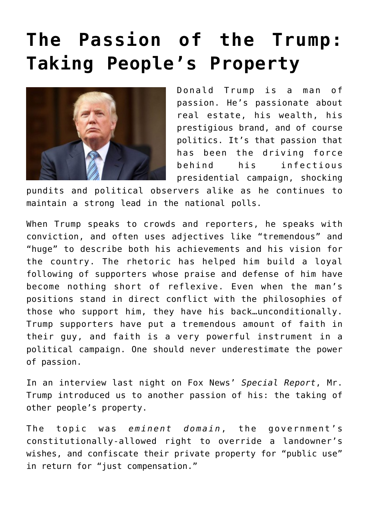## **[The Passion of the Trump:](https://bernardgoldberg.com/the-passion-of-the-trump-taking-peoples-property/) [Taking People's Property](https://bernardgoldberg.com/the-passion-of-the-trump-taking-peoples-property/)**



Donald Trump is a man of passion. He's passionate about real estate, his wealth, his prestigious brand, and of course politics. It's that passion that has been the driving force behind his infectious presidential campaign, shocking

pundits and political observers alike as he continues to maintain a strong lead in the national polls.

When Trump speaks to crowds and reporters, he speaks with conviction, and often uses adjectives like "tremendous" and "huge" to describe both his achievements and his vision for the country. The rhetoric has helped him build a loyal following of supporters whose praise and defense of him have become nothing short of reflexive. Even when the man's positions stand in direct conflict with the philosophies of those who support him, they have his back…unconditionally. Trump supporters have put a tremendous amount of faith in their guy, and faith is a very powerful instrument in a political campaign. One should never underestimate the power of passion.

In an [interview last night](https://www.youtube.com/watch?v=75Cd7oHG6pk) on Fox News' *Special Report*, Mr. Trump introduced us to another passion of his: the taking of other people's property.

The topic was *eminent domain*, the government's constitutionally-allowed right to override a landowner's wishes, and confiscate their private property for "public use" in return for "just compensation."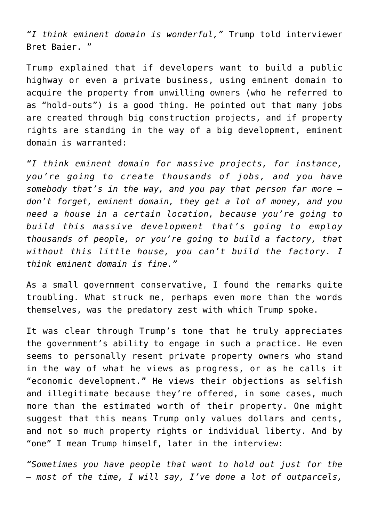*"I think eminent domain is wonderful,"* Trump told interviewer Bret Baier. "

Trump explained that if developers want to build a public highway or even a private business, using eminent domain to acquire the property from unwilling owners (who he referred to as "hold-outs") is a good thing. He pointed out that many jobs are created through big construction projects, and if property rights are standing in the way of a big development, eminent domain is warranted:

*"I think eminent domain for massive projects, for instance, you're going to create thousands of jobs, and you have somebody that's in the way, and you pay that person far more don't forget, eminent domain, they get a lot of money, and you need a house in a certain location, because you're going to build this massive development that's going to employ thousands of people, or you're going to build a factory, that without this little house, you can't build the factory. I think eminent domain is fine."*

As a small government conservative, I found the remarks quite troubling. What struck me, perhaps even more than the words themselves, was the predatory zest with which Trump spoke.

It was clear through Trump's tone that he truly appreciates the government's ability to engage in such a practice. He even seems to personally resent private property owners who stand in the way of what he views as progress, or as he calls it "economic development." He views their objections as selfish and illegitimate because they're offered, in some cases, much more than the estimated worth of their property. One might suggest that this means Trump only values dollars and cents, and not so much property rights or individual liberty. And by "one" I mean Trump himself, later in the interview:

*"Sometimes you have people that want to hold out just for the — most of the time, I will say, I've done a lot of outparcels,*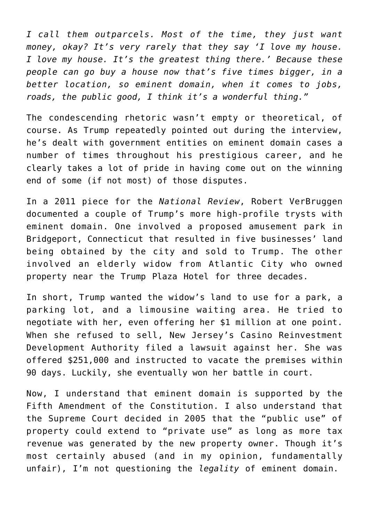*I call them outparcels. Most of the time, they just want money, okay? It's very rarely that they say 'I love my house. I love my house. It's the greatest thing there.' Because these people can go buy a house now that's five times bigger, in a better location, so eminent domain, when it comes to jobs, roads, the public good, I think it's a wonderful thing."*

The condescending rhetoric wasn't empty or theoretical, of course. As Trump repeatedly pointed out during the interview, he's dealt with government entities on eminent domain cases a number of times throughout his prestigious career, and he clearly takes a lot of pride in having come out on the winning end of some (if not most) of those disputes.

In a [2011 piece for the](http://www.nationalreview.com/article/265171/donald-trump-and-eminent-domain-robert-verbruggen) *[National Review](http://www.nationalreview.com/article/265171/donald-trump-and-eminent-domain-robert-verbruggen)*, Robert VerBruggen documented a couple of Trump's more high-profile trysts with eminent domain. One involved a proposed amusement park in Bridgeport, Connecticut that resulted in five businesses' land being obtained by the city and sold to Trump. The other involved an elderly widow from Atlantic City who owned property near the Trump Plaza Hotel for three decades.

In short, Trump wanted the widow's land to use for a park, a parking lot, and a limousine waiting area. He tried to negotiate with her, even offering her \$1 million at one point. When she refused to sell, New Jersey's Casino Reinvestment Development Authority filed a lawsuit against her. She was offered \$251,000 and instructed to vacate the premises within 90 days. Luckily, she eventually won her battle in court.

Now, I understand that eminent domain is supported by the Fifth Amendment of the Constitution. I also understand that the Supreme Court decided in 2005 that the "public use" of property could extend to "private use" as long as more tax revenue was generated by the new property owner. Though it's most certainly abused (and in my opinion, fundamentally unfair), I'm not questioning the *legality* of eminent domain.